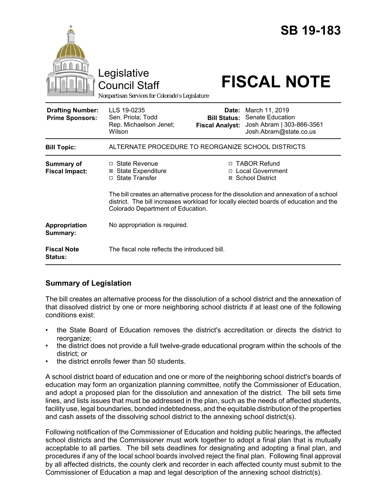|                                                   | Legislative<br><b>Council Staff</b><br>Nonpartisan Services for Colorado's Legislature                      |                                                        | <b>SB 19-183</b><br><b>FISCAL NOTE</b>                                                                                                                                                                                                                 |
|---------------------------------------------------|-------------------------------------------------------------------------------------------------------------|--------------------------------------------------------|--------------------------------------------------------------------------------------------------------------------------------------------------------------------------------------------------------------------------------------------------------|
| <b>Drafting Number:</b><br><b>Prime Sponsors:</b> | LLS 19-0235<br>Sen. Priola; Todd<br>Rep. Michaelson Jenet;<br>Wilson                                        | Date:<br><b>Bill Status:</b><br><b>Fiscal Analyst:</b> | March 11, 2019<br>Senate Education<br>Josh Abram   303-866-3561<br>Josh.Abram@state.co.us                                                                                                                                                              |
| <b>Bill Topic:</b>                                | ALTERNATE PROCEDURE TO REORGANIZE SCHOOL DISTRICTS                                                          |                                                        |                                                                                                                                                                                                                                                        |
| <b>Summary of</b><br><b>Fiscal Impact:</b>        | $\Box$ State Revenue<br><b>⊠</b> State Expenditure<br>□ State Transfer<br>Colorado Department of Education. | П.<br>⊠                                                | <b>TABOR Refund</b><br>□ Local Government<br><b>School District</b><br>The bill creates an alternative process for the dissolution and annexation of a school<br>district. The bill increases workload for locally elected boards of education and the |
| Appropriation<br>Summary:                         | No appropriation is required.                                                                               |                                                        |                                                                                                                                                                                                                                                        |
| <b>Fiscal Note</b><br>Status:                     | The fiscal note reflects the introduced bill.                                                               |                                                        |                                                                                                                                                                                                                                                        |

# **Summary of Legislation**

The bill creates an alternative process for the dissolution of a school district and the annexation of that dissolved district by one or more neighboring school districts if at least one of the following conditions exist:

- the State Board of Education removes the district's accreditation or directs the district to reorganize;
- the district does not provide a full twelve-grade educational program within the schools of the district; or
- the district enrolls fewer than 50 students.

A school district board of education and one or more of the neighboring school district's boards of education may form an organization planning committee, notify the Commissioner of Education, and adopt a proposed plan for the dissolution and annexation of the district. The bill sets time lines, and lists issues that must be addressed in the plan, such as the needs of affected students, facility use, legal boundaries, bonded indebtedness, and the equitable distribution of the properties and cash assets of the dissolving school district to the annexing school district(s).

Following notification of the Commissioner of Education and holding public hearings, the affected school districts and the Commissioner must work together to adopt a final plan that is mutually acceptable to all parties. The bill sets deadlines for designating and adopting a final plan, and procedures if any of the local school boards involved reject the final plan. Following final approval by all affected districts, the county clerk and recorder in each affected county must submit to the Commissioner of Education a map and legal description of the annexing school district(s).